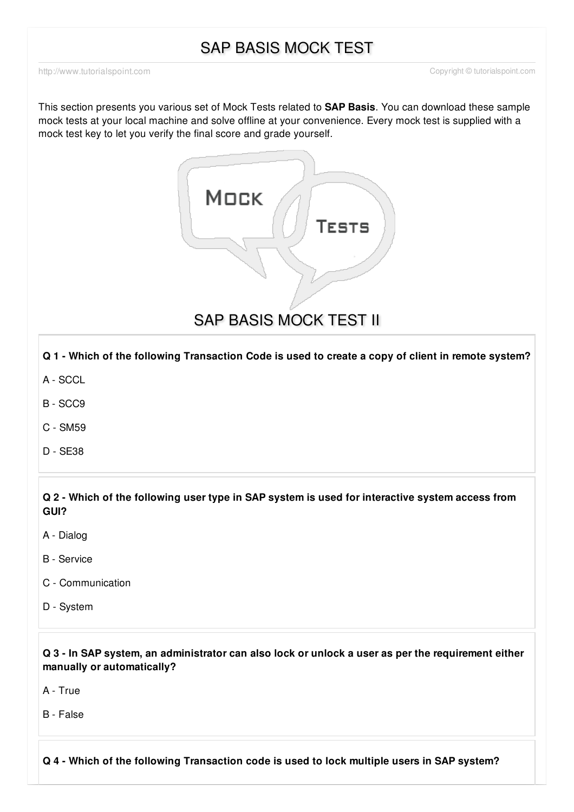# SAP BASIS MOCK TEST

This section presents you various set of Mock Tests related to **SAP Basis**. You can download these sample mock tests at your local machine and solve offline at your convenience. Every mock test is supplied with a mock test key to let you verify the final score and grade yourself.



Q 1 - Which of the following Transaction Code is used to create a copy of client in remote system?

- A [SCCL](javascript:void(0);)
- B [SCC9](javascript:void(0);)
- C [SM59](javascript:void(0);)
- D [SE38](javascript:void(0);)

Q 2 - Which of the following user type in SAP system is used for interactive system access from **GUI?**

- A [Dialog](javascript:void(0);)
- B [Service](javascript:void(0);)
- C [Communication](javascript:void(0);)
- D [System](javascript:void(0);)

Q 3 - In SAP system, an administrator can also lock or unlock a user as per the requirement either **manually or automatically?**

A - [True](javascript:void(0);)

B - [False](javascript:void(0);)

**Q 4 - Which of the following Transaction code is used to lock multiple users in SAP system?**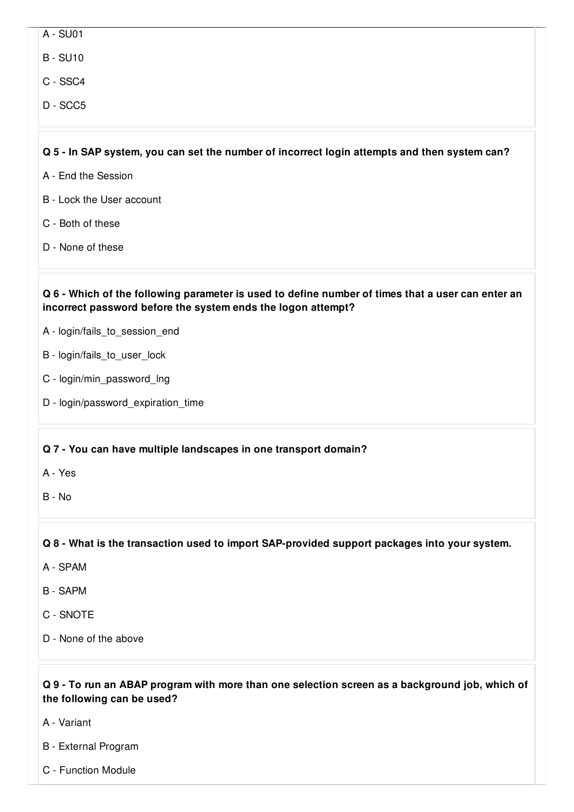A - [SU01](javascript:void(0);)

B - [SU10](javascript:void(0);)

- C [SSC4](javascript:void(0);)
- D [SCC5](javascript:void(0);)

#### Q 5 - In SAP system, you can set the number of incorrect login attempts and then system can?

- A End the [Session](javascript:void(0);)
- B Lock the User [account](javascript:void(0);)
- C Both of [these](javascript:void(0);)
- D None of [these](javascript:void(0);)

#### Q 6 - Which of the following parameter is used to define number of times that a user can enter an **incorrect password before the system ends the logon attempt?**

- A [login/fails\\_to\\_session\\_end](javascript:void(0);)
- B [login/fails\\_to\\_user\\_lock](javascript:void(0);)
- C [login/min\\_password\\_lng](javascript:void(0);)
- D [login/password\\_expiration\\_time](javascript:void(0);)

#### **Q 7 - You can have multiple landscapes in one transport domain?**

- A [Yes](javascript:void(0);)
- B [No](javascript:void(0);)

**Q 8 - What is the transaction used to import SAP-provided support packages into your system.**

- A [SPAM](javascript:void(0);)
- B [SAPM](javascript:void(0);)
- C [SNOTE](javascript:void(0);)
- D None of the [above](javascript:void(0);)

#### Q 9 - To run an ABAP program with more than one selection screen as a background job, which of **the following can be used?**

- A [Variant](javascript:void(0);)
- B External [Program](javascript:void(0);)
- C [Function](javascript:void(0);) Module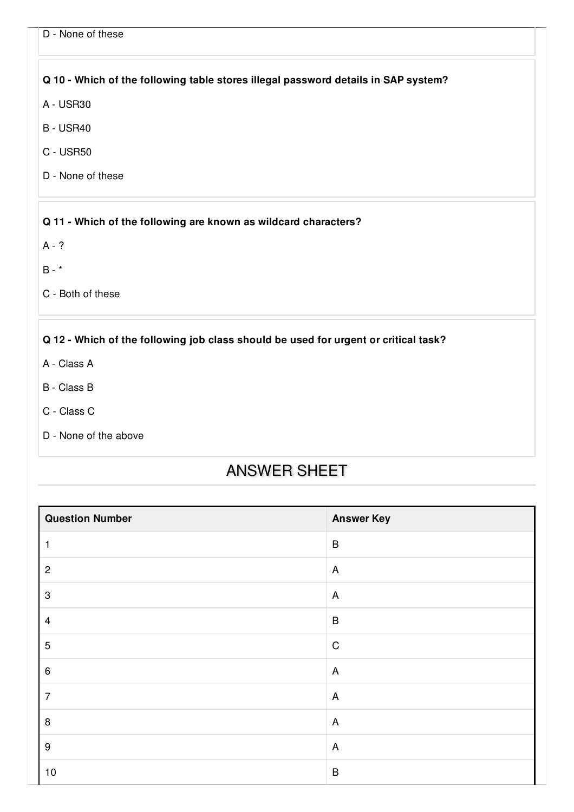|  |  |  | D - None of these |
|--|--|--|-------------------|
|--|--|--|-------------------|

### **Q 10 - Which of the following table stores illegal password details in SAP system?**

- A [USR30](javascript:void(0);)
- B [USR40](javascript:void(0);)
- C [USR50](javascript:void(0);)
- D None of [these](javascript:void(0);)

#### **Q 11 - Which of the following are known as wildcard characters?**

[A](javascript:void(0);) - ?

 $B - *$  $B - *$ 

C - Both of [these](javascript:void(0);)

## **Q 12 - Which of the following job class should be used for urgent or critical task?**

- A [Class](javascript:void(0);) A
- B [Class](javascript:void(0);) B
- C [Class](javascript:void(0);) C
- D None of the [above](javascript:void(0);)

## ANSWER SHEET

| <b>Question Number</b>    | <b>Answer Key</b>         |
|---------------------------|---------------------------|
| 1                         | $\sf B$                   |
| $\mathbf 2$               | $\overline{A}$            |
| $\ensuremath{\mathsf{3}}$ | $\boldsymbol{\mathsf{A}}$ |
| $\overline{\mathbf{4}}$   | $\sf B$                   |
| 5                         | $\mathsf C$               |
| 6                         | $\overline{A}$            |
| $\overline{7}$            | $\mathsf{A}$              |
| 8                         | $\boldsymbol{\mathsf{A}}$ |
| $\boldsymbol{9}$          | $\overline{A}$            |
| $10$                      | $\sf B$                   |